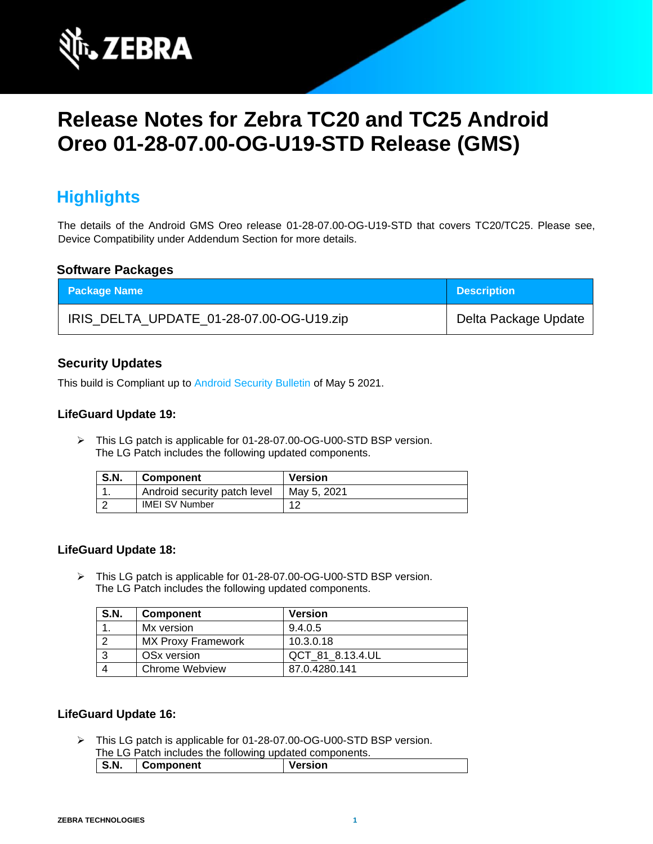

# **Release Notes for Zebra TC20 and TC25 Android Oreo 01-28-07.00-OG-U19-STD Release (GMS)**

# **Highlights**

The details of the Android GMS Oreo release 01-28-07.00-OG-U19-STD that covers TC20/TC25. Please see, Device Compatibility under Addendum Section for more details.

#### **Software Packages**

| <b>Package Name</b>                      | <b>Description</b>   |
|------------------------------------------|----------------------|
| IRIS_DELTA_UPDATE_01-28-07.00-OG-U19.zip | Delta Package Update |

### **Security Updates**

This build is Compliant up to [Android Security Bulletin](https://source.android.com/security/bulletin/) of May 5 2021.

#### **LifeGuard Update 19:**

➢ This LG patch is applicable for 01-28-07.00-OG-U00-STD BSP version. The LG Patch includes the following updated components.

| <b>S.N.</b> | <b>Component</b>             | <b>Version</b> |
|-------------|------------------------------|----------------|
|             | Android security patch level | Mav 5, 2021    |
|             | <b>IMEI SV Number</b>        |                |

#### **LifeGuard Update 18:**

➢ This LG patch is applicable for 01-28-07.00-OG-U00-STD BSP version. The LG Patch includes the following updated components.

| <b>S.N.</b> | <b>Component</b>          | <b>Version</b>   |
|-------------|---------------------------|------------------|
|             | Mx version                | 9.4.0.5          |
|             | <b>MX Proxy Framework</b> | 10.3.0.18        |
|             | OSx version               | QCT 81 8.13.4.UL |
|             | Chrome Webview            | 87.0.4280.141    |

#### **LifeGuard Update 16:**

➢ This LG patch is applicable for 01-28-07.00-OG-U00-STD BSP version. The LG Patch includes the following updated components.

| S.N. | Component | Version |
|------|-----------|---------|
|      |           |         |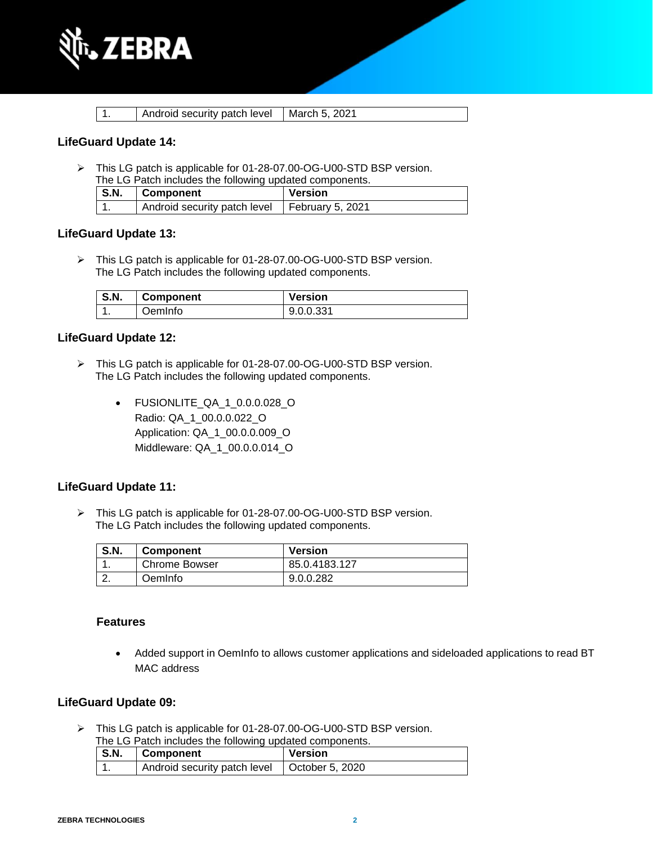

|  | Android security patch level   March 5, 2021 |  |
|--|----------------------------------------------|--|
|  |                                              |  |

#### **LifeGuard Update 14:**

➢ This LG patch is applicable for 01-28-07.00-OG-U00-STD BSP version. The LG Patch includes the following updated components.

| S.N. | Component                                       | Version |
|------|-------------------------------------------------|---------|
|      | Android security patch level   February 5, 2021 |         |

#### **LifeGuard Update 13:**

➢ This LG patch is applicable for 01-28-07.00-OG-U00-STD BSP version. The LG Patch includes the following updated components.

| <b>S.N.</b> | <b>Component</b> | <b>Version</b> |
|-------------|------------------|----------------|
|             | JemInfo          | 9.0.0.331      |

#### **LifeGuard Update 12:**

- ➢ This LG patch is applicable for 01-28-07.00-OG-U00-STD BSP version. The LG Patch includes the following updated components.
	- FUSIONLITE\_QA\_1\_0.0.0.028\_O Radio: QA\_1\_00.0.0.022\_O Application: QA\_1\_00.0.0.009\_O Middleware: QA\_1\_00.0.0.014\_O

#### **LifeGuard Update 11:**

➢ This LG patch is applicable for 01-28-07.00-OG-U00-STD BSP version. The LG Patch includes the following updated components.

| <b>S.N.</b> | <b>Component</b>     | <b>Version</b> |
|-------------|----------------------|----------------|
|             | <b>Chrome Bowser</b> | 85.0.4183.127  |
|             | OemInfo              | 9.0.0.282      |

#### **Features**

• Added support in OemInfo to allows customer applications and sideloaded applications to read BT MAC address

#### **LifeGuard Update 09:**

➢ This LG patch is applicable for 01-28-07.00-OG-U00-STD BSP version.

| The LG Patch includes the following updated components. |
|---------------------------------------------------------|
|---------------------------------------------------------|

| S.N. | Component                                      | <b>Version</b> |
|------|------------------------------------------------|----------------|
|      | Android security patch level   October 5, 2020 |                |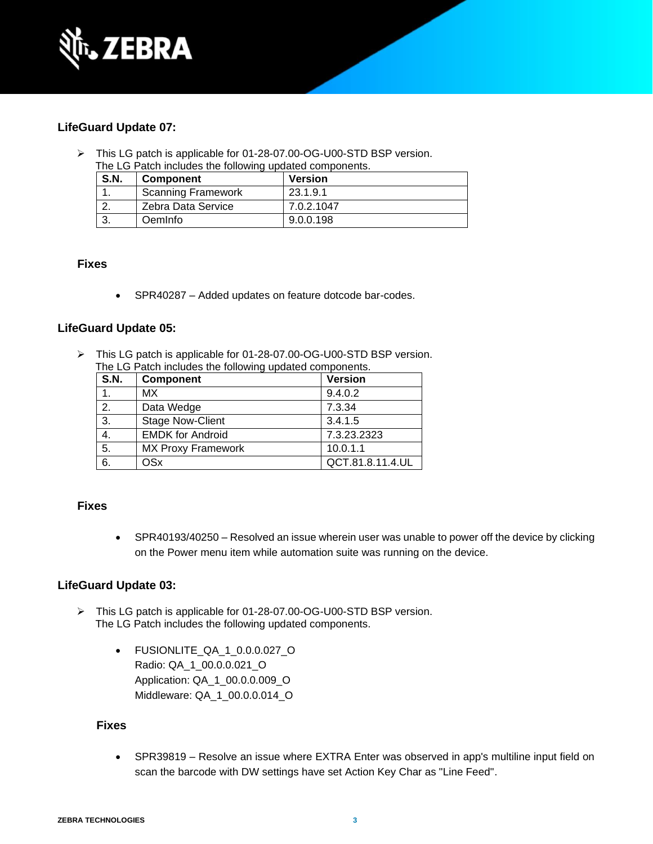

### **LifeGuard Update 07:**

➢ This LG patch is applicable for 01-28-07.00-OG-U00-STD BSP version. The LG Patch includes the following updated components.

| <b>S.N.</b> | <b>Component</b>          | <b>Version</b> |
|-------------|---------------------------|----------------|
|             | <b>Scanning Framework</b> | 23.1.9.1       |
|             | Zebra Data Service        | 7.0.2.1047     |
|             | OemInfo                   | 9.0.0.198      |

#### **Fixes**

• SPR40287 – Added updates on feature dotcode bar-codes.

#### **LifeGuard Update 05:**

➢ This LG patch is applicable for 01-28-07.00-OG-U00-STD BSP version. The LG Patch includes the following updated components.

| S.N. | Component                 | <b>Version</b>   |
|------|---------------------------|------------------|
| 1.   | МX                        | 9.4.0.2          |
| 2.   | Data Wedge                | 7.3.34           |
| 3.   | <b>Stage Now-Client</b>   | 3.4.1.5          |
| 4.   | <b>EMDK for Android</b>   | 7.3.23.2323      |
| 5.   | <b>MX Proxy Framework</b> | 10.0.1.1         |
| 6.   | <b>OSx</b>                | QCT.81.8.11.4.UL |

#### **Fixes**

• SPR40193/40250 – Resolved an issue wherein user was unable to power off the device by clicking on the Power menu item while automation suite was running on the device.

#### **LifeGuard Update 03:**

- ➢ This LG patch is applicable for 01-28-07.00-OG-U00-STD BSP version. The LG Patch includes the following updated components.
	- FUSIONLITE\_QA\_1\_0.0.0.027\_O Radio: QA\_1\_00.0.0.021\_O Application: QA\_1\_00.0.0.009\_O Middleware: QA\_1\_00.0.0.014\_O

#### **Fixes**

• SPR39819 – Resolve an issue where EXTRA Enter was observed in app's multiline input field on scan the barcode with DW settings have set Action Key Char as "Line Feed".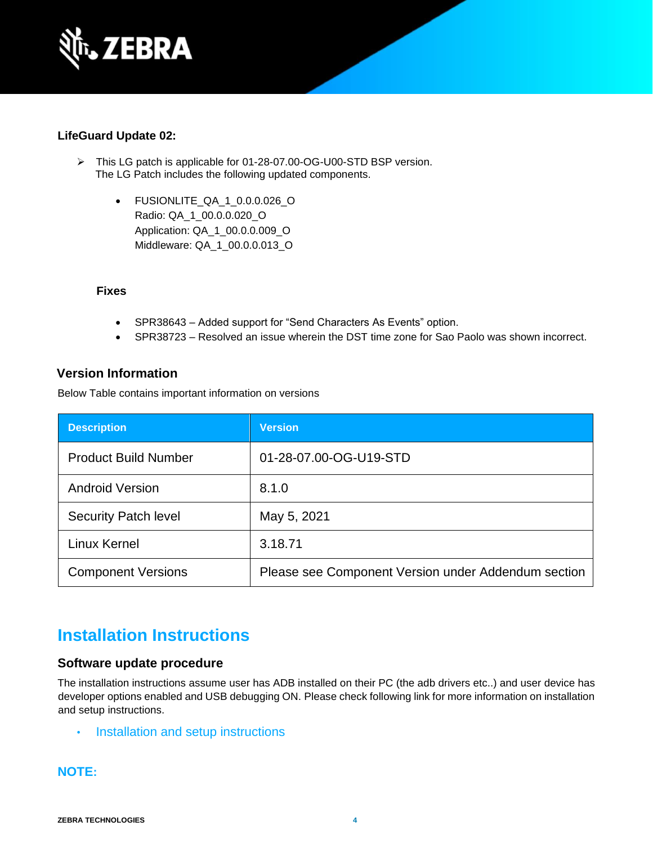

### **LifeGuard Update 02:**

- ➢ This LG patch is applicable for 01-28-07.00-OG-U00-STD BSP version. The LG Patch includes the following updated components.
	- FUSIONLITE\_QA\_1\_0.0.0.026\_O Radio: QA\_1\_00.0.0.020\_O Application: QA\_1\_00.0.0.009\_O Middleware: QA\_1\_00.0.0.013\_O

#### **Fixes**

- SPR38643 Added support for "Send Characters As Events" option.
- SPR38723 Resolved an issue wherein the DST time zone for Sao Paolo was shown incorrect.

### **Version Information**

Below Table contains important information on versions

| <b>Description</b>          | <b>Version</b>                                      |
|-----------------------------|-----------------------------------------------------|
| <b>Product Build Number</b> | 01-28-07.00-OG-U19-STD                              |
| <b>Android Version</b>      | 8.1.0                                               |
| <b>Security Patch level</b> | May 5, 2021                                         |
| <b>Linux Kernel</b>         | 3.18.71                                             |
| <b>Component Versions</b>   | Please see Component Version under Addendum section |

# **Installation Instructions**

#### **Software update procedure**

The installation instructions assume user has ADB installed on their PC (the adb drivers etc..) and user device has developer options enabled and USB debugging ON. Please check following link for more information on installation and setup instructions.

• [Installation and setup instructions](https://www.zebra.com/content/dam/zebra_new_ia/en-us/software/operating-system/tc20-operating-system/Android-O-OS-Update-TC20-and-TC25-GMS.pdf)

### **NOTE:**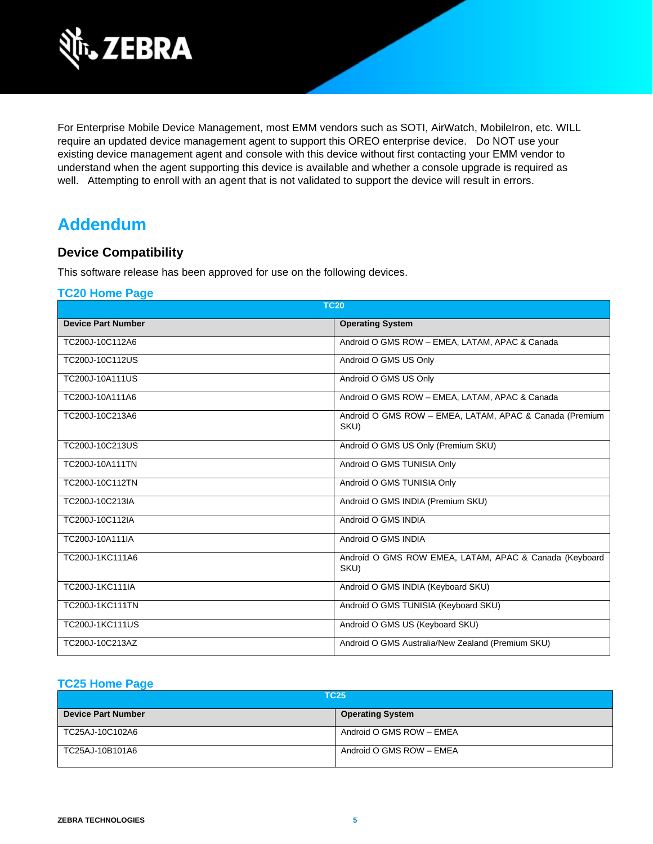

For Enterprise Mobile Device Management, most EMM vendors such as SOTI, AirWatch, MobileIron, etc. WILL require an updated device management agent to support this OREO enterprise device. Do NOT use your existing device management agent and console with this device without first contacting your EMM vendor to understand when the agent supporting this device is available and whether a console upgrade is required as well. Attempting to enroll with an agent that is not validated to support the device will result in errors.

# **Addendum**

### **Device Compatibility**

This software release has been approved for use on the following devices.

#### **[TC20 Home Page](https://www.zebra.com/us/en/support-downloads/software/operating-system/tc20-operating-system.html)**

| <b>TC20</b>               |                                                                 |  |
|---------------------------|-----------------------------------------------------------------|--|
| <b>Device Part Number</b> | <b>Operating System</b>                                         |  |
| TC200J-10C112A6           | Android O GMS ROW - EMEA, LATAM, APAC & Canada                  |  |
| TC200J-10C112US           | Android O GMS US Only                                           |  |
| TC200J-10A111US           | Android O GMS US Only                                           |  |
| TC200J-10A111A6           | Android O GMS ROW - EMEA, LATAM, APAC & Canada                  |  |
| TC200J-10C213A6           | Android O GMS ROW - EMEA, LATAM, APAC & Canada (Premium<br>SKU) |  |
| TC200J-10C213US           | Android O GMS US Only (Premium SKU)                             |  |
| TC200J-10A111TN           | Android O GMS TUNISIA Only                                      |  |
| TC200J-10C112TN           | Android O GMS TUNISIA Only                                      |  |
| TC200J-10C213IA           | Android O GMS INDIA (Premium SKU)                               |  |
| TC200J-10C112IA           | Android O GMS INDIA                                             |  |
| TC200J-10A111IA           | Android O GMS INDIA                                             |  |
| TC200J-1KC111A6           | Android O GMS ROW EMEA, LATAM, APAC & Canada (Keyboard<br>SKU)  |  |
| TC200J-1KC111IA           | Android O GMS INDIA (Keyboard SKU)                              |  |
| <b>TC200J-1KC111TN</b>    | Android O GMS TUNISIA (Keyboard SKU)                            |  |
| <b>TC200J-1KC111US</b>    | Android O GMS US (Keyboard SKU)                                 |  |
| TC200J-10C213AZ           | Android O GMS Australia/New Zealand (Premium SKU)               |  |

#### **[TC25 Home Page](https://www.zebra.com/us/en/support-downloads/software/operating-system/tc25-operating-system.html)**

| <b>TC25</b>               |                          |
|---------------------------|--------------------------|
| <b>Device Part Number</b> | <b>Operating System</b>  |
| TC25AJ-10C102A6           | Android O GMS ROW - EMEA |
| TC25AJ-10B101A6           | Android O GMS ROW - EMEA |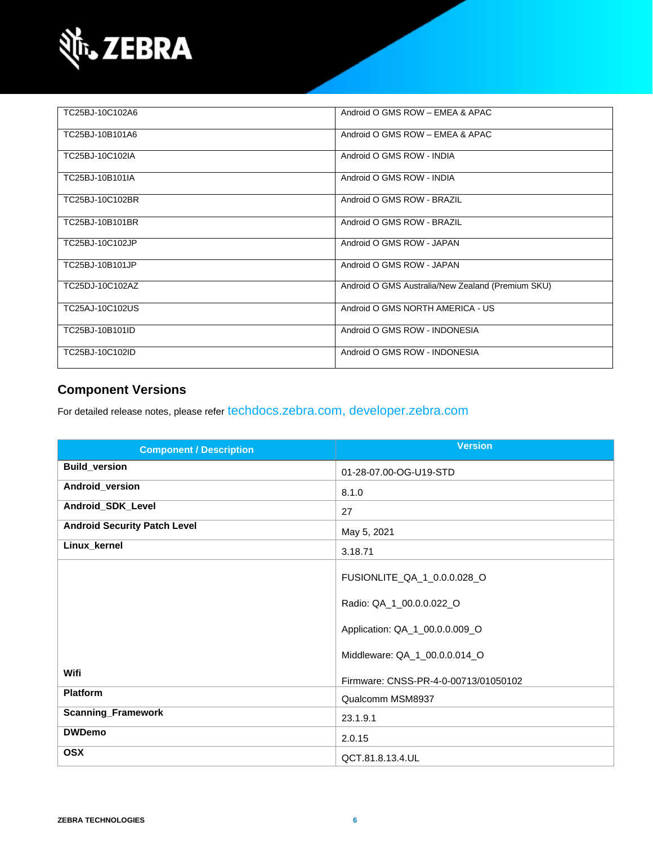

| TC25BJ-10C102A6 | Android O GMS ROW - EMEA & APAC                   |
|-----------------|---------------------------------------------------|
| TC25BJ-10B101A6 | Android O GMS ROW - EMEA & APAC                   |
| TC25BJ-10C102IA | Android O GMS ROW - INDIA                         |
| TC25BJ-10B101IA | Android O GMS ROW - INDIA                         |
| TC25BJ-10C102BR | Android O GMS ROW - BRAZIL                        |
| TC25BJ-10B101BR | Android O GMS ROW - BRAZIL                        |
| TC25BJ-10C102JP | Android O GMS ROW - JAPAN                         |
| TC25BJ-10B101JP | Android O GMS ROW - JAPAN                         |
| TC25DJ-10C102AZ | Android O GMS Australia/New Zealand (Premium SKU) |
| TC25AJ-10C102US | Android O GMS NORTH AMERICA - US                  |
| TC25BJ-10B101ID | Android O GMS ROW - INDONESIA                     |
| TC25BJ-10C102ID | Android O GMS ROW - INDONESIA                     |

### **Component Versions**

For detailed release notes, please refer [techdocs.zebra.com,](https://techdocs.zebra.com/) [developer.zebra.com](https://developer.zebra.com/)

| <b>Component / Description</b>      | <b>Version</b>                       |
|-------------------------------------|--------------------------------------|
| <b>Build_version</b>                | 01-28-07.00-OG-U19-STD               |
| Android_version                     | 8.1.0                                |
| Android_SDK_Level                   | 27                                   |
| <b>Android Security Patch Level</b> | May 5, 2021                          |
| Linux_kernel                        | 3.18.71                              |
|                                     | FUSIONLITE_QA_1_0.0.0.028_O          |
|                                     | Radio: QA_1_00.0.0.022_O             |
|                                     | Application: QA_1_00.0.0.009_O       |
|                                     | Middleware: QA_1_00.0.0.014_O        |
| Wifi                                | Firmware: CNSS-PR-4-0-00713/01050102 |
| <b>Platform</b>                     | Qualcomm MSM8937                     |
| <b>Scanning_Framework</b>           | 23.1.9.1                             |
| <b>DWDemo</b>                       | 2.0.15                               |
| <b>OSX</b>                          | QCT.81.8.13.4.UL                     |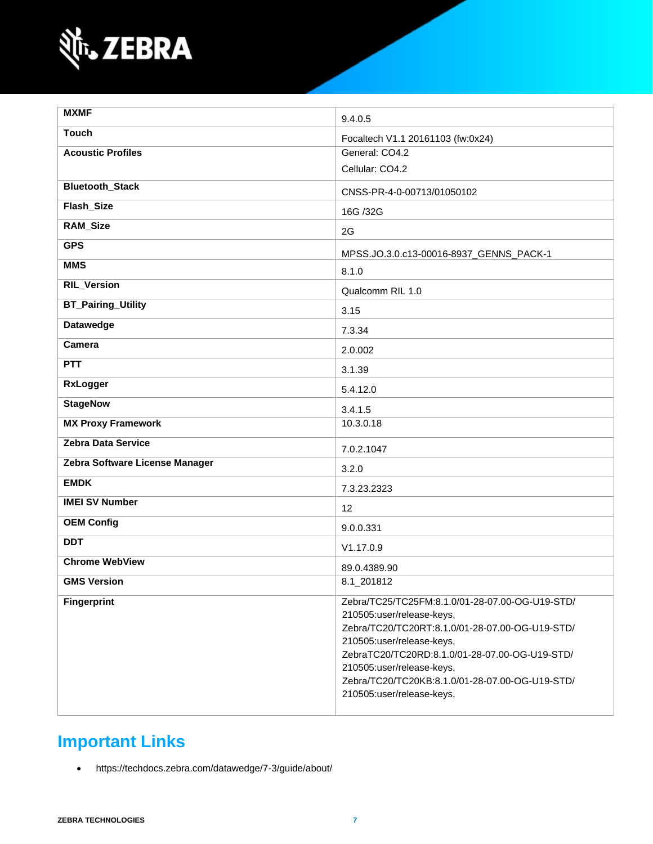

| <b>MXMF</b>                    | 9.4.0.5                                                                                                                                                                                                                                                                                                                     |
|--------------------------------|-----------------------------------------------------------------------------------------------------------------------------------------------------------------------------------------------------------------------------------------------------------------------------------------------------------------------------|
| <b>Touch</b>                   | Focaltech V1.1 20161103 (fw:0x24)                                                                                                                                                                                                                                                                                           |
| <b>Acoustic Profiles</b>       | General: CO4.2                                                                                                                                                                                                                                                                                                              |
|                                | Cellular: CO4.2                                                                                                                                                                                                                                                                                                             |
| <b>Bluetooth_Stack</b>         | CNSS-PR-4-0-00713/01050102                                                                                                                                                                                                                                                                                                  |
| Flash_Size                     | 16G /32G                                                                                                                                                                                                                                                                                                                    |
| <b>RAM_Size</b>                | 2G                                                                                                                                                                                                                                                                                                                          |
| <b>GPS</b>                     | MPSS.JO.3.0.c13-00016-8937_GENNS_PACK-1                                                                                                                                                                                                                                                                                     |
| <b>MMS</b>                     | 8.1.0                                                                                                                                                                                                                                                                                                                       |
| <b>RIL_Version</b>             | Qualcomm RIL 1.0                                                                                                                                                                                                                                                                                                            |
| <b>BT_Pairing_Utility</b>      | 3.15                                                                                                                                                                                                                                                                                                                        |
| <b>Datawedge</b>               | 7.3.34                                                                                                                                                                                                                                                                                                                      |
| Camera                         | 2.0.002                                                                                                                                                                                                                                                                                                                     |
| <b>PTT</b>                     | 3.1.39                                                                                                                                                                                                                                                                                                                      |
| <b>RxLogger</b>                | 5.4.12.0                                                                                                                                                                                                                                                                                                                    |
| <b>StageNow</b>                | 3.4.1.5                                                                                                                                                                                                                                                                                                                     |
| <b>MX Proxy Framework</b>      | 10.3.0.18                                                                                                                                                                                                                                                                                                                   |
| <b>Zebra Data Service</b>      | 7.0.2.1047                                                                                                                                                                                                                                                                                                                  |
| Zebra Software License Manager | 3.2.0                                                                                                                                                                                                                                                                                                                       |
| <b>EMDK</b>                    | 7.3.23.2323                                                                                                                                                                                                                                                                                                                 |
| <b>IMEI SV Number</b>          | 12                                                                                                                                                                                                                                                                                                                          |
| <b>OEM Config</b>              | 9.0.0.331                                                                                                                                                                                                                                                                                                                   |
| <b>DDT</b>                     | V1.17.0.9                                                                                                                                                                                                                                                                                                                   |
| <b>Chrome WebView</b>          | 89.0.4389.90                                                                                                                                                                                                                                                                                                                |
| <b>GMS Version</b>             | 8.1_201812                                                                                                                                                                                                                                                                                                                  |
| <b>Fingerprint</b>             | Zebra/TC25/TC25FM:8.1.0/01-28-07.00-OG-U19-STD/<br>210505:user/release-keys,<br>Zebra/TC20/TC20RT:8.1.0/01-28-07.00-OG-U19-STD/<br>210505:user/release-keys,<br>ZebraTC20/TC20RD:8.1.0/01-28-07.00-OG-U19-STD/<br>210505:user/release-keys,<br>Zebra/TC20/TC20KB:8.1.0/01-28-07.00-OG-U19-STD/<br>210505:user/release-keys, |

# **Important Links**

• <https://techdocs.zebra.com/datawedge/7-3/guide/about/>